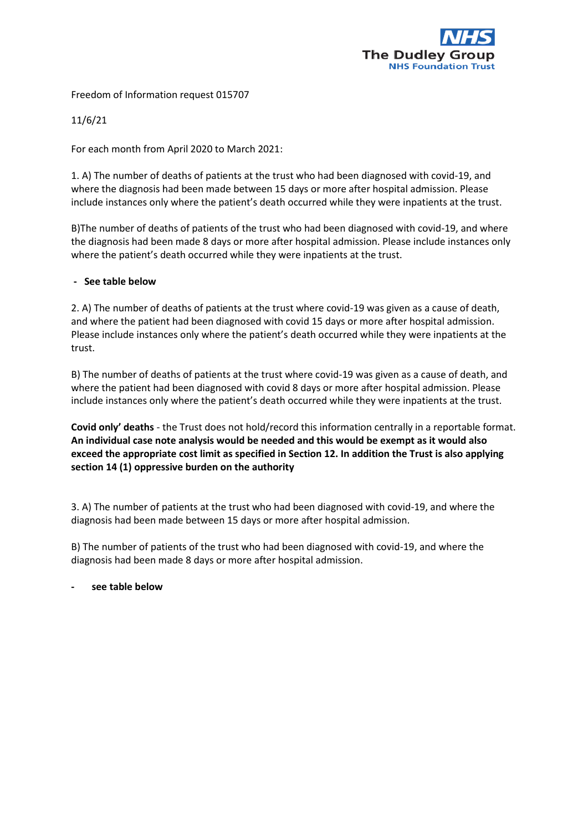

Freedom of Information request 015707

11/6/21

For each month from April 2020 to March 2021:

1. A) The number of deaths of patients at the trust who had been diagnosed with covid-19, and where the diagnosis had been made between 15 days or more after hospital admission. Please include instances only where the patient's death occurred while they were inpatients at the trust.

B)The number of deaths of patients of the trust who had been diagnosed with covid-19, and where the diagnosis had been made 8 days or more after hospital admission. Please include instances only where the patient's death occurred while they were inpatients at the trust.

## **- See table below**

2. A) The number of deaths of patients at the trust where covid-19 was given as a cause of death, and where the patient had been diagnosed with covid 15 days or more after hospital admission. Please include instances only where the patient's death occurred while they were inpatients at the trust.

B) The number of deaths of patients at the trust where covid-19 was given as a cause of death, and where the patient had been diagnosed with covid 8 days or more after hospital admission. Please include instances only where the patient's death occurred while they were inpatients at the trust.

**Covid only' deaths** - the Trust does not hold/record this information centrally in a reportable format. **An individual case note analysis would be needed and this would be exempt as it would also exceed the appropriate cost limit as specified in Section 12. In addition the Trust is also applying section 14 (1) oppressive burden on the authority** 

3. A) The number of patients at the trust who had been diagnosed with covid-19, and where the diagnosis had been made between 15 days or more after hospital admission.

B) The number of patients of the trust who had been diagnosed with covid-19, and where the diagnosis had been made 8 days or more after hospital admission.

**- see table below**